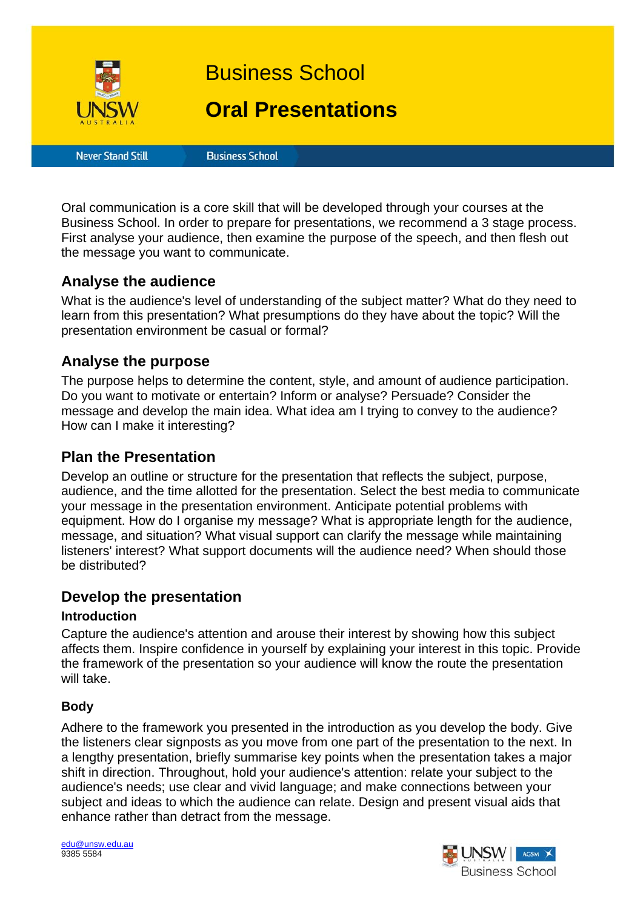

Business School **Oral Presentations** 

**Never Stand Still** 

**Business School** 

Oral communication is a core skill that will be developed through your courses at the Business School. In order to prepare for presentations, we recommend a 3 stage process. First analyse your audience, then examine the purpose of the speech, and then flesh out the message you want to communicate.

## **Analyse the audience**

What is the audience's level of understanding of the subject matter? What do they need to learn from this presentation? What presumptions do they have about the topic? Will the presentation environment be casual or formal?

## **Analyse the purpose**

The purpose helps to determine the content, style, and amount of audience participation. Do you want to motivate or entertain? Inform or analyse? Persuade? Consider the message and develop the main idea. What idea am I trying to convey to the audience? How can I make it interesting?

## **Plan the Presentation**

Develop an outline or structure for the presentation that reflects the subject, purpose, audience, and the time allotted for the presentation. Select the best media to communicate your message in the presentation environment. Anticipate potential problems with equipment. How do I organise my message? What is appropriate length for the audience, message, and situation? What visual support can clarify the message while maintaining listeners' interest? What support documents will the audience need? When should those be distributed?

## **Develop the presentation**

#### **Introduction**

Capture the audience's attention and arouse their interest by showing how this subject affects them. Inspire confidence in yourself by explaining your interest in this topic. Provide the framework of the presentation so your audience will know the route the presentation will take.

#### **Body**

Adhere to the framework you presented in the introduction as you develop the body. Give the listeners clear signposts as you move from one part of the presentation to the next. In a lengthy presentation, briefly summarise key points when the presentation takes a major shift in direction. Throughout, hold your audience's attention: relate your subject to the audience's needs; use clear and vivid language; and make connections between your subject and ideas to which the audience can relate. Design and present visual aids that enhance rather than detract from the message.

edu@unsw.edu.au 9385 5584

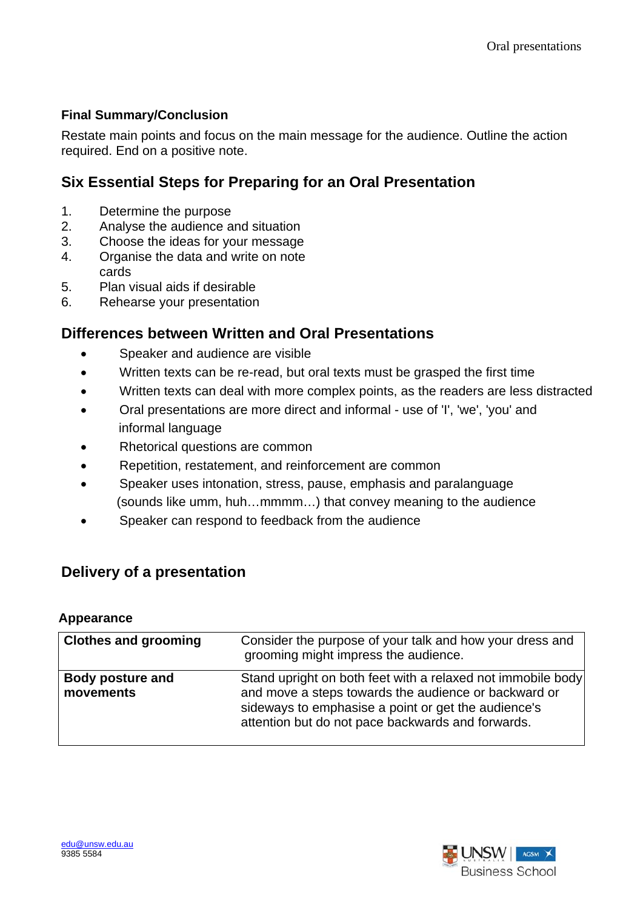#### **Final Summary/Conclusion**

Restate main points and focus on the main message for the audience. Outline the action required. End on a positive note.

# **Six Essential Steps for Preparing for an Oral Presentation**

- 1. Determine the purpose
- 2. Analyse the audience and situation
- 3. Choose the ideas for your message
- 4. Organise the data and write on note cards
- 5. Plan visual aids if desirable
- 6. Rehearse your presentation

## **Differences between Written and Oral Presentations**

- Speaker and audience are visible
- Written texts can be re-read, but oral texts must be grasped the first time
- Written texts can deal with more complex points, as the readers are less distracted
- Oral presentations are more direct and informal use of 'I', 'we', 'you' and informal language
- Rhetorical questions are common
- Repetition, restatement, and reinforcement are common
- Speaker uses intonation, stress, pause, emphasis and paralanguage (sounds like umm, huh…mmmm…) that convey meaning to the audience
- Speaker can respond to feedback from the audience

# **Delivery of a presentation**

#### **Appearance**

| <b>Clothes and grooming</b>          | Consider the purpose of your talk and how your dress and<br>grooming might impress the audience.                                                                                                                                |
|--------------------------------------|---------------------------------------------------------------------------------------------------------------------------------------------------------------------------------------------------------------------------------|
| <b>Body posture and</b><br>movements | Stand upright on both feet with a relaxed not immobile body<br>and move a steps towards the audience or backward or<br>sideways to emphasise a point or get the audience's<br>attention but do not pace backwards and forwards. |



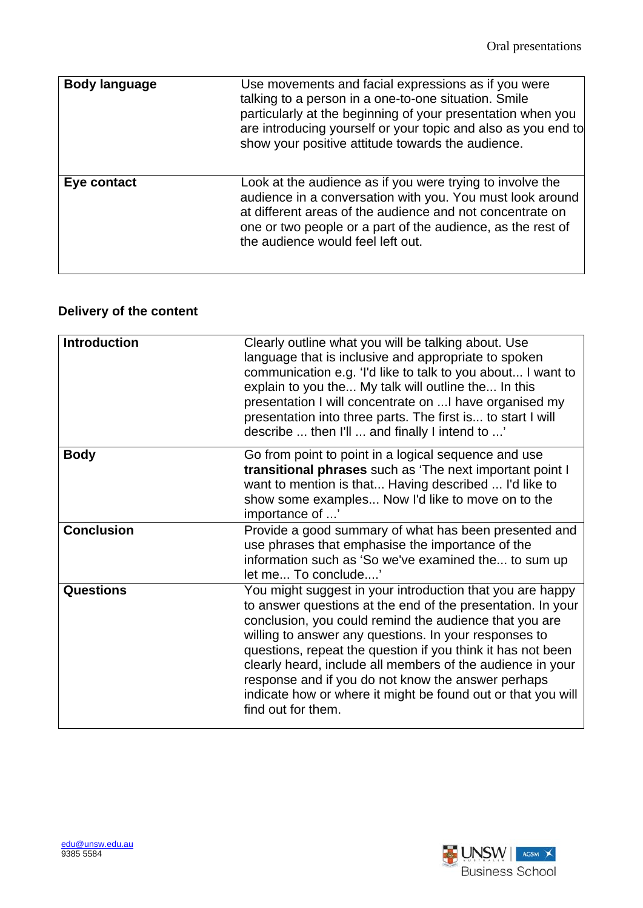| <b>Body language</b> | Use movements and facial expressions as if you were<br>talking to a person in a one-to-one situation. Smile<br>particularly at the beginning of your presentation when you<br>are introducing yourself or your topic and also as you end to<br>show your positive attitude towards the audience. |
|----------------------|--------------------------------------------------------------------------------------------------------------------------------------------------------------------------------------------------------------------------------------------------------------------------------------------------|
| Eye contact          | Look at the audience as if you were trying to involve the<br>audience in a conversation with you. You must look around<br>at different areas of the audience and not concentrate on<br>one or two people or a part of the audience, as the rest of<br>the audience would feel left out.          |

# **Delivery of the content**

| <b>Introduction</b> | Clearly outline what you will be talking about. Use<br>language that is inclusive and appropriate to spoken<br>communication e.g. 'I'd like to talk to you about I want to<br>explain to you the My talk will outline the In this<br>presentation I will concentrate on  I have organised my<br>presentation into three parts. The first is to start I will<br>describe  then I'll  and finally I intend to '                                                                                                        |
|---------------------|----------------------------------------------------------------------------------------------------------------------------------------------------------------------------------------------------------------------------------------------------------------------------------------------------------------------------------------------------------------------------------------------------------------------------------------------------------------------------------------------------------------------|
| <b>Body</b>         | Go from point to point in a logical sequence and use<br>transitional phrases such as 'The next important point I<br>want to mention is that Having described  I'd like to<br>show some examples Now I'd like to move on to the<br>importance of '                                                                                                                                                                                                                                                                    |
| <b>Conclusion</b>   | Provide a good summary of what has been presented and<br>use phrases that emphasise the importance of the<br>information such as 'So we've examined the to sum up<br>let me To conclude'                                                                                                                                                                                                                                                                                                                             |
| <b>Questions</b>    | You might suggest in your introduction that you are happy<br>to answer questions at the end of the presentation. In your<br>conclusion, you could remind the audience that you are<br>willing to answer any questions. In your responses to<br>questions, repeat the question if you think it has not been<br>clearly heard, include all members of the audience in your<br>response and if you do not know the answer perhaps<br>indicate how or where it might be found out or that you will<br>find out for them. |

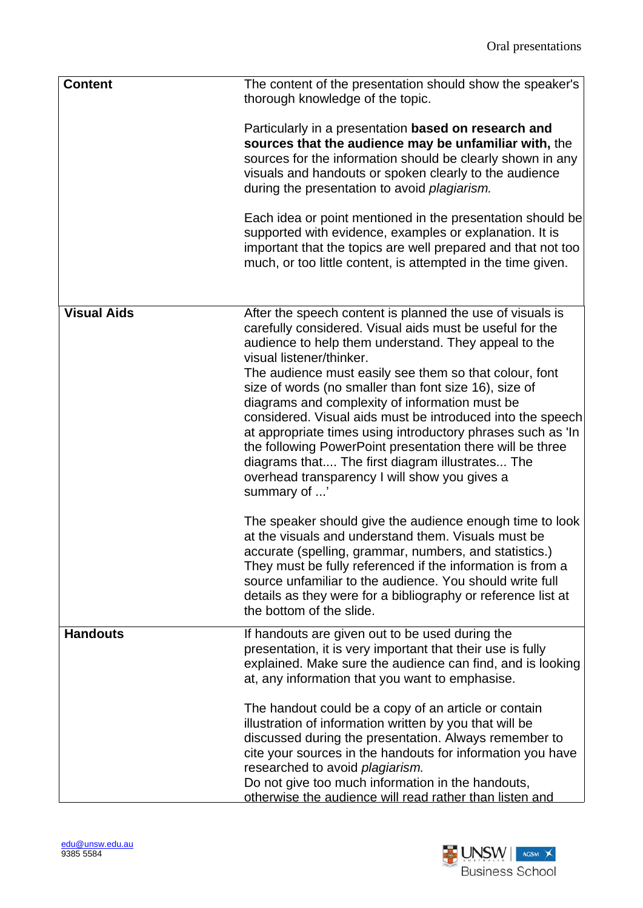| <b>Content</b>     | The content of the presentation should show the speaker's<br>thorough knowledge of the topic.                                                                                                                                                                                                                                                                                                                                                                                                                                                                                                                                                                                                |
|--------------------|----------------------------------------------------------------------------------------------------------------------------------------------------------------------------------------------------------------------------------------------------------------------------------------------------------------------------------------------------------------------------------------------------------------------------------------------------------------------------------------------------------------------------------------------------------------------------------------------------------------------------------------------------------------------------------------------|
|                    | Particularly in a presentation based on research and<br>sources that the audience may be unfamiliar with, the<br>sources for the information should be clearly shown in any<br>visuals and handouts or spoken clearly to the audience<br>during the presentation to avoid plagiarism.                                                                                                                                                                                                                                                                                                                                                                                                        |
|                    | Each idea or point mentioned in the presentation should be<br>supported with evidence, examples or explanation. It is<br>important that the topics are well prepared and that not too<br>much, or too little content, is attempted in the time given.                                                                                                                                                                                                                                                                                                                                                                                                                                        |
| <b>Visual Aids</b> | After the speech content is planned the use of visuals is<br>carefully considered. Visual aids must be useful for the<br>audience to help them understand. They appeal to the<br>visual listener/thinker.<br>The audience must easily see them so that colour, font<br>size of words (no smaller than font size 16), size of<br>diagrams and complexity of information must be<br>considered. Visual aids must be introduced into the speech<br>at appropriate times using introductory phrases such as 'In<br>the following PowerPoint presentation there will be three<br>diagrams that The first diagram illustrates The<br>overhead transparency I will show you gives a<br>summary of ' |
|                    | The speaker should give the audience enough time to look<br>at the visuals and understand them. Visuals must be<br>accurate (spelling, grammar, numbers, and statistics.)<br>They must be fully referenced if the information is from a<br>source unfamiliar to the audience. You should write full<br>details as they were for a bibliography or reference list at<br>the bottom of the slide.                                                                                                                                                                                                                                                                                              |
| <b>Handouts</b>    | If handouts are given out to be used during the<br>presentation, it is very important that their use is fully<br>explained. Make sure the audience can find, and is looking<br>at, any information that you want to emphasise.                                                                                                                                                                                                                                                                                                                                                                                                                                                               |
|                    | The handout could be a copy of an article or contain<br>illustration of information written by you that will be<br>discussed during the presentation. Always remember to<br>cite your sources in the handouts for information you have<br>researched to avoid plagiarism.<br>Do not give too much information in the handouts,<br>otherwise the audience will read rather than listen and                                                                                                                                                                                                                                                                                                    |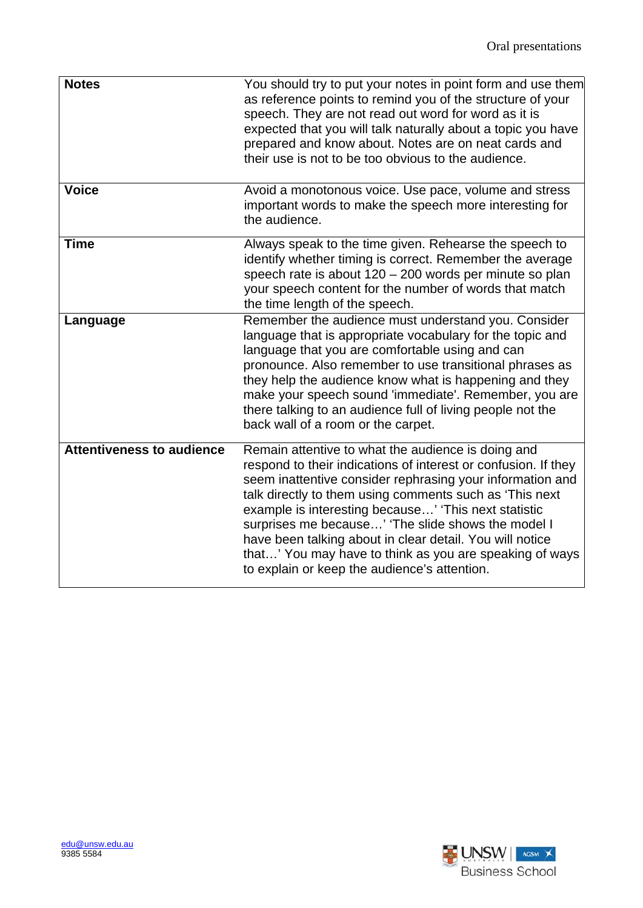| <b>Notes</b>                     | You should try to put your notes in point form and use them<br>as reference points to remind you of the structure of your<br>speech. They are not read out word for word as it is<br>expected that you will talk naturally about a topic you have<br>prepared and know about. Notes are on neat cards and<br>their use is not to be too obvious to the audience.                                                                                                                                                                  |
|----------------------------------|-----------------------------------------------------------------------------------------------------------------------------------------------------------------------------------------------------------------------------------------------------------------------------------------------------------------------------------------------------------------------------------------------------------------------------------------------------------------------------------------------------------------------------------|
| <b>Voice</b>                     | Avoid a monotonous voice. Use pace, volume and stress<br>important words to make the speech more interesting for<br>the audience.                                                                                                                                                                                                                                                                                                                                                                                                 |
| <b>Time</b>                      | Always speak to the time given. Rehearse the speech to<br>identify whether timing is correct. Remember the average<br>speech rate is about 120 - 200 words per minute so plan<br>your speech content for the number of words that match<br>the time length of the speech.                                                                                                                                                                                                                                                         |
| Language                         | Remember the audience must understand you. Consider<br>language that is appropriate vocabulary for the topic and<br>language that you are comfortable using and can<br>pronounce. Also remember to use transitional phrases as<br>they help the audience know what is happening and they<br>make your speech sound 'immediate'. Remember, you are<br>there talking to an audience full of living people not the<br>back wall of a room or the carpet.                                                                             |
| <b>Attentiveness to audience</b> | Remain attentive to what the audience is doing and<br>respond to their indications of interest or confusion. If they<br>seem inattentive consider rephrasing your information and<br>talk directly to them using comments such as 'This next<br>example is interesting because' 'This next statistic<br>surprises me because' 'The slide shows the model I<br>have been talking about in clear detail. You will notice<br>that' You may have to think as you are speaking of ways<br>to explain or keep the audience's attention. |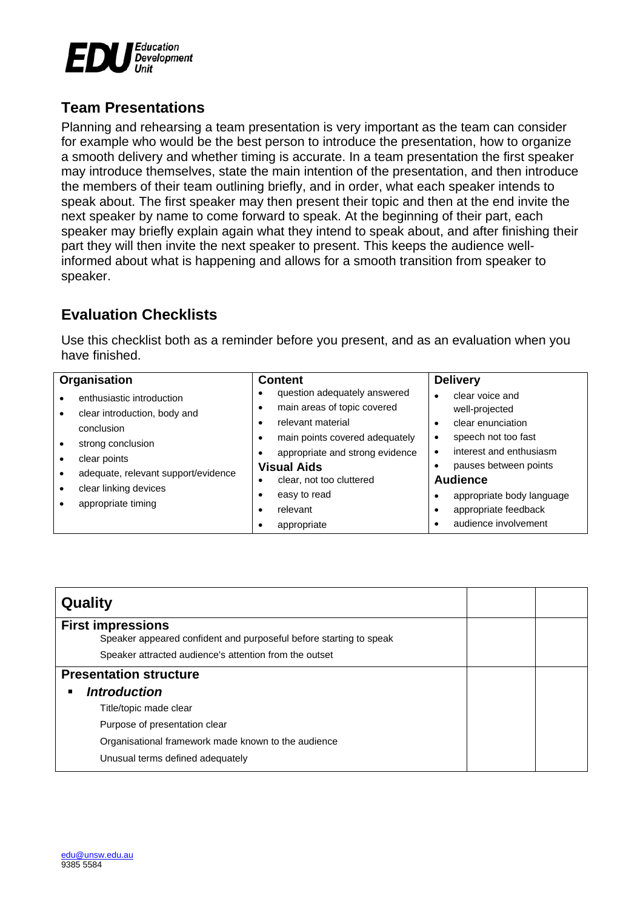

# **Team Presentations**

Planning and rehearsing a team presentation is very important as the team can consider for example who would be the best person to introduce the presentation, how to organize a smooth delivery and whether timing is accurate. In a team presentation the first speaker may introduce themselves, state the main intention of the presentation, and then introduce the members of their team outlining briefly, and in order, what each speaker intends to speak about. The first speaker may then present their topic and then at the end invite the next speaker by name to come forward to speak. At the beginning of their part, each speaker may briefly explain again what they intend to speak about, and after finishing their part they will then invite the next speaker to present. This keeps the audience wellinformed about what is happening and allows for a smooth transition from speaker to speaker.

# **Evaluation Checklists**

Use this checklist both as a reminder before you present, and as an evaluation when you have finished.

| Organisation                              | <b>Content</b>                              | <b>Delivery</b>              |
|-------------------------------------------|---------------------------------------------|------------------------------|
| enthusiastic introduction                 | question adequately answered                | clear voice and<br>٠         |
| clear introduction, body and<br>$\bullet$ | main areas of topic covered<br>٠            | well-projected               |
| conclusion                                | relevant material<br>٠                      | clear enunciation            |
| strong conclusion                         | main points covered adequately<br>$\bullet$ | speech not too fast<br>٠     |
| clear points                              | appropriate and strong evidence             | interest and enthusiasm<br>٠ |
|                                           | <b>Visual Aids</b>                          | pauses between points        |
| adequate, relevant support/evidence       | clear, not too cluttered                    | <b>Audience</b>              |
| clear linking devices                     | easy to read                                | appropriate body language    |
| appropriate timing                        | relevant                                    | appropriate feedback         |
|                                           | appropriate                                 | audience involvement         |

| <b>Quality</b>                                                                                 |  |
|------------------------------------------------------------------------------------------------|--|
| <b>First impressions</b><br>Speaker appeared confident and purposeful before starting to speak |  |
| Speaker attracted audience's attention from the outset                                         |  |
| <b>Presentation structure</b>                                                                  |  |
| <b>Introduction</b>                                                                            |  |
| Title/topic made clear                                                                         |  |
| Purpose of presentation clear                                                                  |  |
| Organisational framework made known to the audience                                            |  |
| Unusual terms defined adequately                                                               |  |